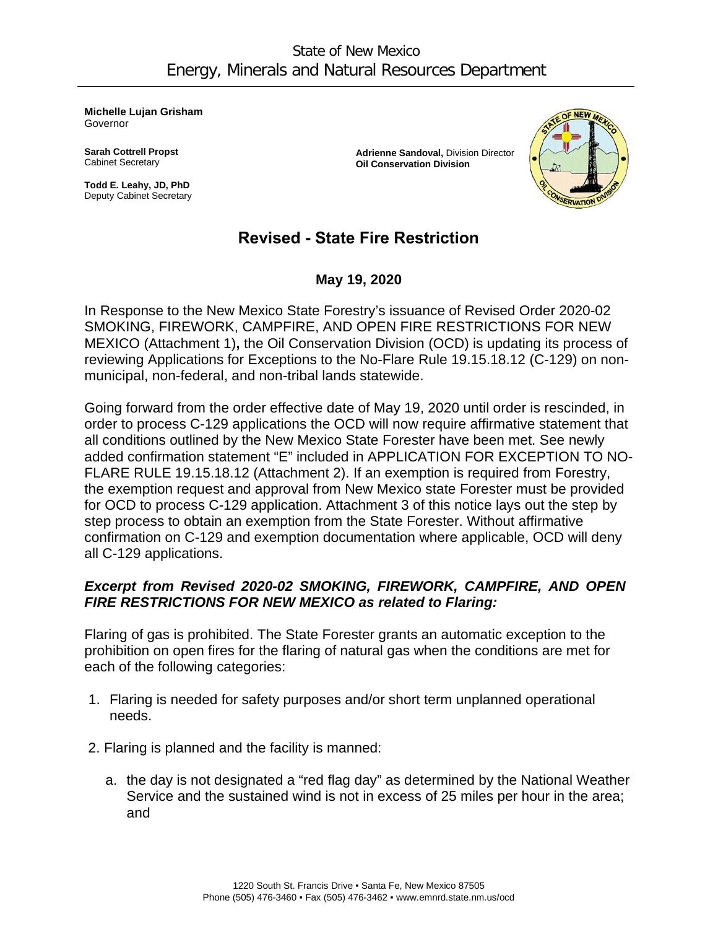**Michelle Lujan Grisham** Governor

**Sarah Cottrell Propst** Cabinet Secretary

**Todd E. Leahy, JD, PhD** Deputy Cabinet Secretary **Adrienne Sandoval,** Division Director **Oil Conservation Division**



# **Revised - State Fire Restriction**

**May 19, 2020**

In Response to the New Mexico State Forestry's issuance of Revised Order 2020-02 SMOKING, FIREWORK, CAMPFIRE, AND OPEN FIRE RESTRICTIONS FOR NEW MEXICO (Attachment 1)**,** the Oil Conservation Division (OCD) is updating its process of reviewing Applications for Exceptions to the No-Flare Rule 19.15.18.12 (C-129) on nonmunicipal, non-federal, and non-tribal lands statewide.

Going forward from the order effective date of May 19, 2020 until order is rescinded, in order to process C-129 applications the OCD will now require affirmative statement that all conditions outlined by the New Mexico State Forester have been met. See newly added confirmation statement "E" included in APPLICATION FOR EXCEPTION TO NO-FLARE RULE 19.15.18.12 (Attachment 2). If an exemption is required from Forestry, the exemption request and approval from New Mexico state Forester must be provided for OCD to process C-129 application. Attachment 3 of this notice lays out the step by step process to obtain an exemption from the State Forester. Without affirmative confirmation on C-129 and exemption documentation where applicable, OCD will deny all C-129 applications.

# *Excerpt from Revised 2020-02 SMOKING, FIREWORK, CAMPFIRE, AND OPEN FIRE RESTRICTIONS FOR NEW MEXICO as related to Flaring:*

Flaring of gas is prohibited. The State Forester grants an automatic exception to the prohibition on open fires for the flaring of natural gas when the conditions are met for each of the following categories:

- 1. Flaring is needed for safety purposes and/or short term unplanned operational needs.
- 2. Flaring is planned and the facility is manned:
	- a. the day is not designated a "red flag day" as determined by the National Weather Service and the sustained wind is not in excess of 25 miles per hour in the area; and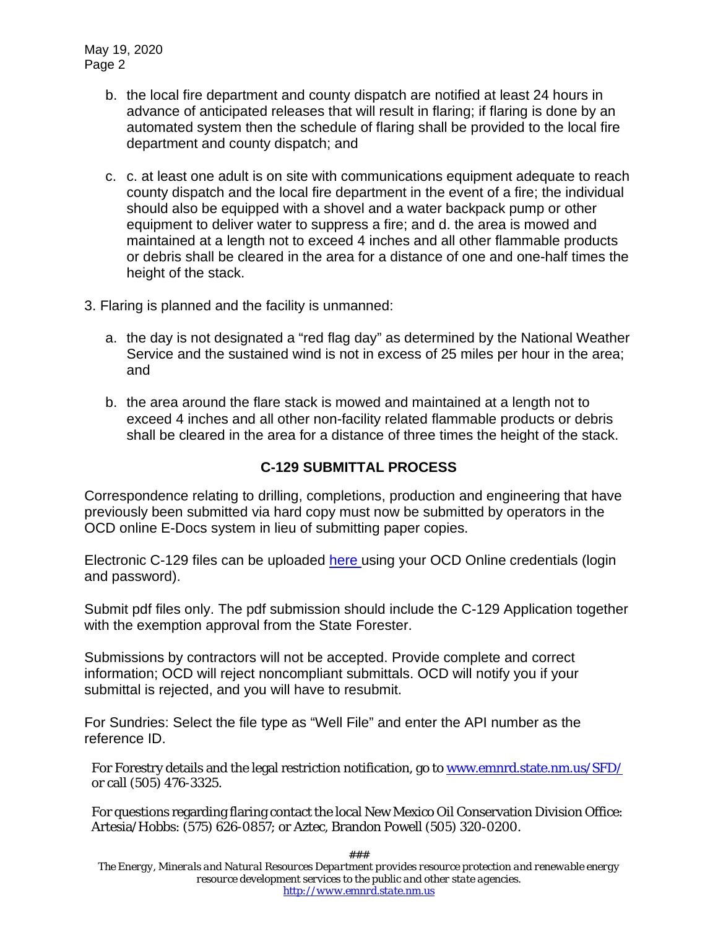May 19, 2020 Page 2

- b. the local fire department and county dispatch are notified at least 24 hours in advance of anticipated releases that will result in flaring; if flaring is done by an automated system then the schedule of flaring shall be provided to the local fire department and county dispatch; and
- c. c. at least one adult is on site with communications equipment adequate to reach county dispatch and the local fire department in the event of a fire; the individual should also be equipped with a shovel and a water backpack pump or other equipment to deliver water to suppress a fire; and d. the area is mowed and maintained at a length not to exceed 4 inches and all other flammable products or debris shall be cleared in the area for a distance of one and one-half times the height of the stack.
- 3. Flaring is planned and the facility is unmanned:
	- a. the day is not designated a "red flag day" as determined by the National Weather Service and the sustained wind is not in excess of 25 miles per hour in the area; and
	- b. the area around the flare stack is mowed and maintained at a length not to exceed 4 inches and all other non-facility related flammable products or debris shall be cleared in the area for a distance of three times the height of the stack.

## **C-129 SUBMITTAL PROCESS**

Correspondence relating to drilling, completions, production and engineering that have previously been submitted via hard copy must now be submitted by operators in the OCD online E-Docs system in lieu of submitting paper copies.

Electronic C-129 files can be uploaded [here u](https://ocdimage.emnrd.state.nm.us/eDocs/Login.aspx)sing your OCD Online credentials (login and password).

Submit pdf files only. The pdf submission should include the C-129 Application together with the exemption approval from the State Forester.

Submissions by contractors will not be accepted. Provide complete and correct information; OCD will reject noncompliant submittals. OCD will notify you if your submittal is rejected, and you will have to resubmit.

For Sundries: Select the file type as "Well File" and enter the API number as the reference ID.

For Forestry details and the legal restriction notification, go t[o www.emnrd.state.nm.us/SFD/](http://www.emnrd.state.nm.us/SFD/) or call (505) 476-3325.

For questions regarding flaring contact the local New Mexico Oil Conservation Division Office: Artesia/Hobbs: (575) 626-0857; or Aztec, Brandon Powell (505) 320-0200.

*###*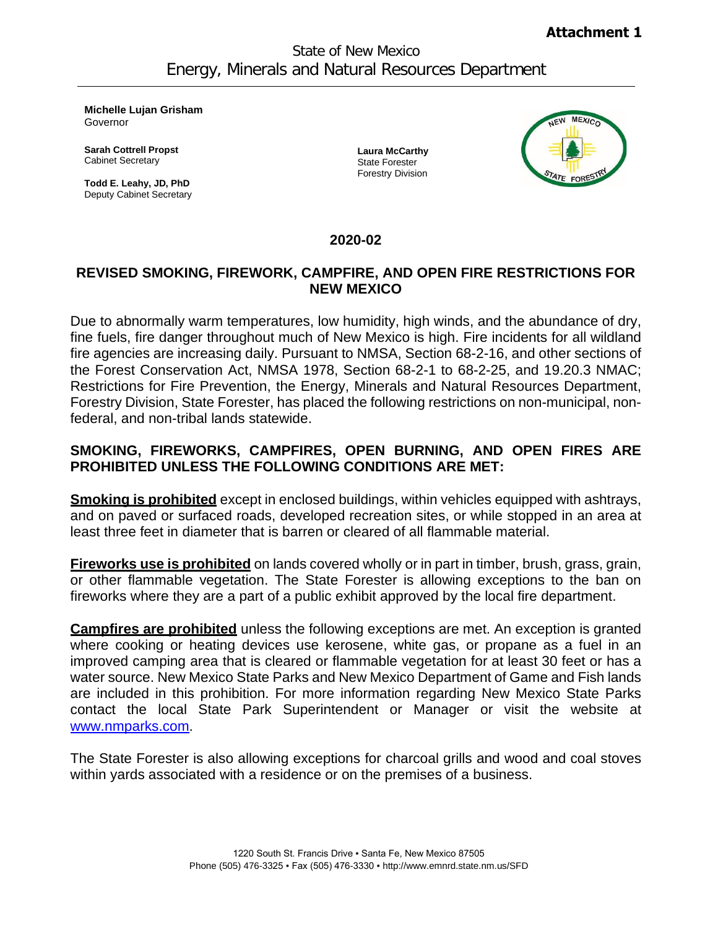**Michelle Lujan Grisham** Governor

**Sarah Cottrell Propst** Cabinet Secretary

**Todd E. Leahy, JD, PhD** Deputy Cabinet Secretary **Laura McCarthy** State Forester Forestry Division



#### **2020-02**

#### **REVISED SMOKING, FIREWORK, CAMPFIRE, AND OPEN FIRE RESTRICTIONS FOR NEW MEXICO**

Due to abnormally warm temperatures, low humidity, high winds, and the abundance of dry, fine fuels, fire danger throughout much of New Mexico is high. Fire incidents for all wildland fire agencies are increasing daily. Pursuant to NMSA, Section 68-2-16, and other sections of the Forest Conservation Act, NMSA 1978, Section 68-2-1 to 68-2-25, and 19.20.3 NMAC; Restrictions for Fire Prevention, the Energy, Minerals and Natural Resources Department, Forestry Division, State Forester, has placed the following restrictions on non-municipal, nonfederal, and non-tribal lands statewide.

### **SMOKING, FIREWORKS, CAMPFIRES, OPEN BURNING, AND OPEN FIRES ARE PROHIBITED UNLESS THE FOLLOWING CONDITIONS ARE MET:**

**Smoking is prohibited** except in enclosed buildings, within vehicles equipped with ashtrays, and on paved or surfaced roads, developed recreation sites, or while stopped in an area at least three feet in diameter that is barren or cleared of all flammable material.

**Fireworks use is prohibited** on lands covered wholly or in part in timber, brush, grass, grain, or other flammable vegetation. The State Forester is allowing exceptions to the ban on fireworks where they are a part of a public exhibit approved by the local fire department.

**Campfires are prohibited** unless the following exceptions are met. An exception is granted where cooking or heating devices use kerosene, white gas, or propane as a fuel in an improved camping area that is cleared or flammable vegetation for at least 30 feet or has a water source. New Mexico State Parks and New Mexico Department of Game and Fish lands are included in this prohibition. For more information regarding New Mexico State Parks contact the local State Park Superintendent or Manager or visit the website at [www.nmparks.com.](http://www.nmparks.com/)

The State Forester is also allowing exceptions for charcoal grills and wood and coal stoves within yards associated with a residence or on the premises of a business.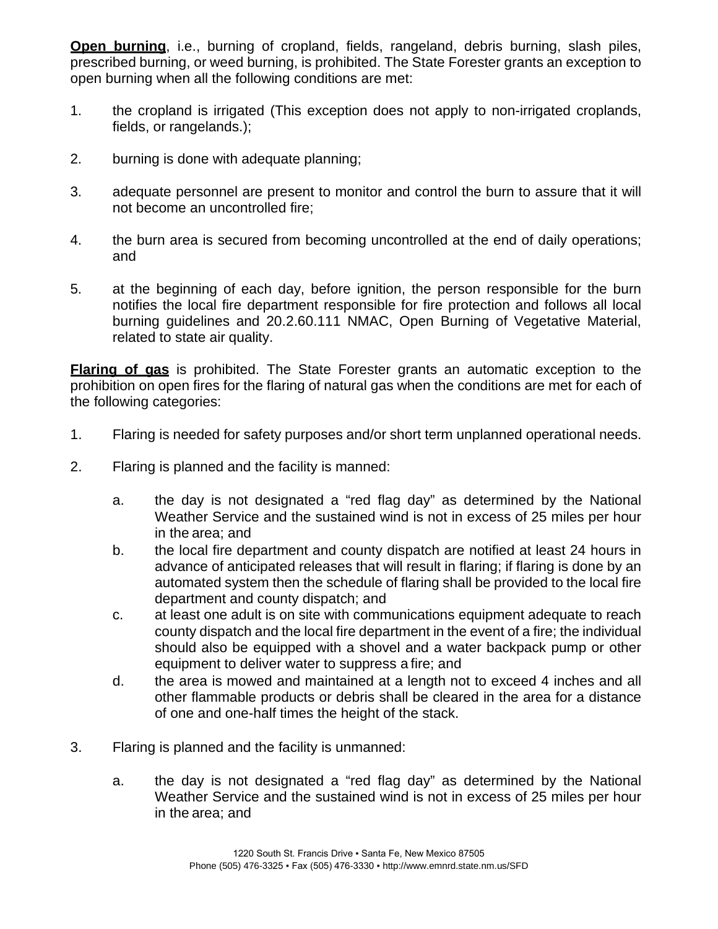**Open burning**, i.e., burning of cropland, fields, rangeland, debris burning, slash piles, prescribed burning, or weed burning, is prohibited. The State Forester grants an exception to open burning when all the following conditions are met:

- 1. the cropland is irrigated (This exception does not apply to non-irrigated croplands, fields, or rangelands.);
- 2. burning is done with adequate planning;
- 3. adequate personnel are present to monitor and control the burn to assure that it will not become an uncontrolled fire;
- 4. the burn area is secured from becoming uncontrolled at the end of daily operations; and
- 5. at the beginning of each day, before ignition, the person responsible for the burn notifies the local fire department responsible for fire protection and follows all local burning guidelines and 20.2.60.111 NMAC, Open Burning of Vegetative Material, related to state air quality.

**Flaring of gas** is prohibited. The State Forester grants an automatic exception to the prohibition on open fires for the flaring of natural gas when the conditions are met for each of the following categories:

- 1. Flaring is needed for safety purposes and/or short term unplanned operational needs.
- 2. Flaring is planned and the facility is manned:
	- a. the day is not designated a "red flag day" as determined by the National Weather Service and the sustained wind is not in excess of 25 miles per hour in the area; and
	- b. the local fire department and county dispatch are notified at least 24 hours in advance of anticipated releases that will result in flaring; if flaring is done by an automated system then the schedule of flaring shall be provided to the local fire department and county dispatch; and
	- c. at least one adult is on site with communications equipment adequate to reach county dispatch and the local fire department in the event of a fire; the individual should also be equipped with a shovel and a water backpack pump or other equipment to deliver water to suppress a fire; and
	- d. the area is mowed and maintained at a length not to exceed 4 inches and all other flammable products or debris shall be cleared in the area for a distance of one and one-half times the height of the stack.
- 3. Flaring is planned and the facility is unmanned:
	- a. the day is not designated a "red flag day" as determined by the National Weather Service and the sustained wind is not in excess of 25 miles per hour in the area; and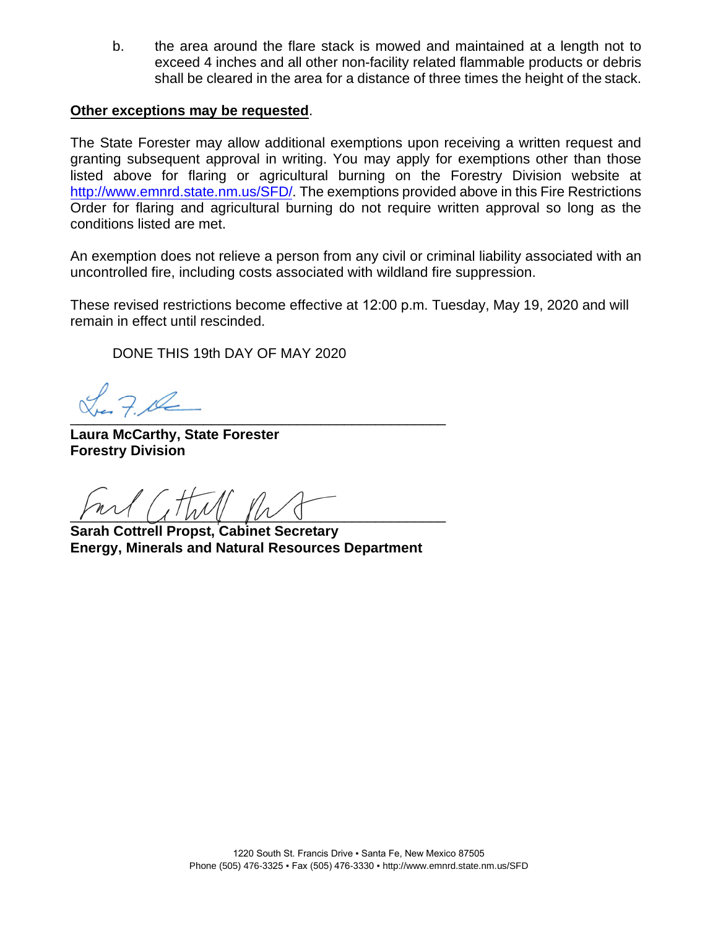b. the area around the flare stack is mowed and maintained at a length not to exceed 4 inches and all other non-facility related flammable products or debris shall be cleared in the area for a distance of three times the height of the stack.

#### **Other exceptions may be requested**.

The State Forester may allow additional exemptions upon receiving a written request and granting subsequent approval in writing. You may apply for exemptions other than those listed above for flaring or agricultural burning on the Forestry Division website at [http://www.emnrd.state.nm.us/SFD/.](http://www.emnrd.state.nm.us/SFD/) The exemptions provided above in this Fire Restrictions Order for flaring and agricultural burning do not require written approval so long as the conditions listed are met.

An exemption does not relieve a person from any civil or criminal liability associated with an uncontrolled fire, including costs associated with wildland fire suppression.

These revised restrictions become effective at 12:00 p.m. Tuesday, May 19, 2020 and will remain in effect until rescinded.

DONE THIS 19th DAY OF MAY 2020

 $\sqrt{2}$ 

**Laura McCarthy, State Forester Forestry Division**

 $\gamma$  and  $\gamma$  and  $\gamma$  and  $\gamma$  and  $\gamma$ 

**Sarah Cottrell Propst, Cabinet Secretary Energy, Minerals and Natural Resources Department**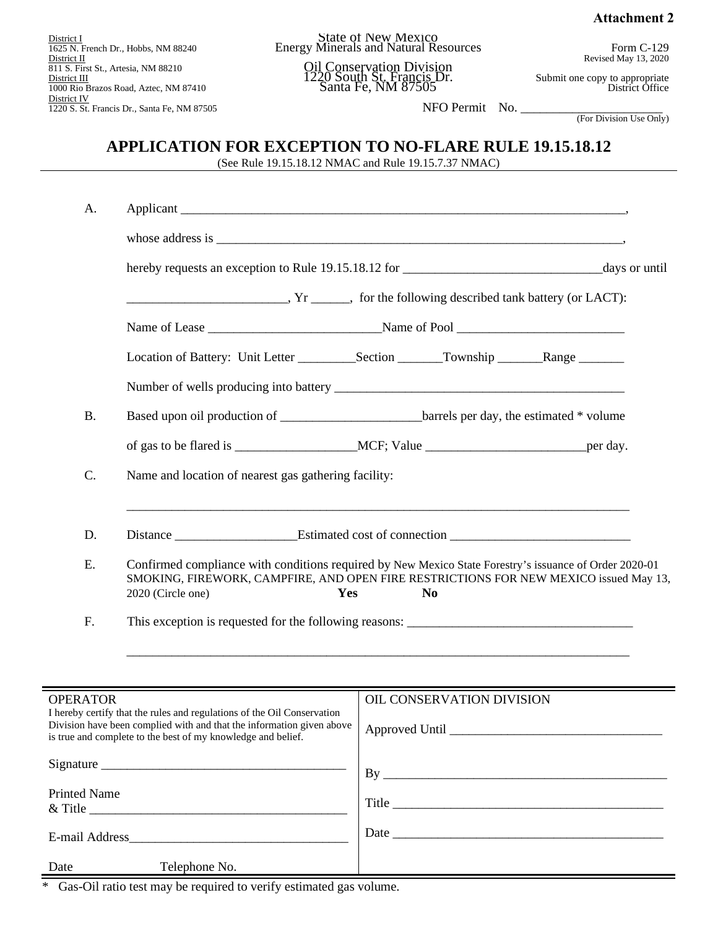**Attachment 2**

District I 1625 N. French Dr., Hobbs, NM 88240 District II 811 S. First St., Artesia, NM 88210 District III 1000 Rio Brazos Road, Aztec, NM 87410 District IV 1220 S. St. Francis Dr., Santa Fe, NM 87505

State of New Mexico Energy Minerals and Natural Resources

> Oil Conservation Division 1220 South St. Francis Dr. Santa Fe, NM 87505

Form C-129 Revised May 13, 2020

Submit one copy to appropriate District Office

NFO Permit No. \_\_\_\_\_\_\_\_\_\_\_\_\_\_\_\_\_\_\_\_\_\_

(For Division Use Only)

## **APPLICATION FOR EXCEPTION TO NO-FLARE RULE 19.15.18.12**

(See Rule 19.15.18.12 NMAC and Rule 19.15.7.37 NMAC)

| A.                                                                                         | $Yr$ for the following described tank battery (or LACT):                                                                                                                                                                                      |                                                                      |
|--------------------------------------------------------------------------------------------|-----------------------------------------------------------------------------------------------------------------------------------------------------------------------------------------------------------------------------------------------|----------------------------------------------------------------------|
|                                                                                            |                                                                                                                                                                                                                                               |                                                                      |
|                                                                                            |                                                                                                                                                                                                                                               |                                                                      |
|                                                                                            |                                                                                                                                                                                                                                               |                                                                      |
|                                                                                            |                                                                                                                                                                                                                                               |                                                                      |
|                                                                                            |                                                                                                                                                                                                                                               |                                                                      |
|                                                                                            |                                                                                                                                                                                                                                               |                                                                      |
| <b>B.</b>                                                                                  |                                                                                                                                                                                                                                               |                                                                      |
|                                                                                            |                                                                                                                                                                                                                                               |                                                                      |
| C.                                                                                         | Name and location of nearest gas gathering facility:                                                                                                                                                                                          |                                                                      |
| D.                                                                                         | <u> 1989 - Johann Stoff, deutscher Stoff, der Stoff, der Stoff, der Stoff, der Stoff, der Stoff, der Stoff, der S</u>                                                                                                                         |                                                                      |
| E.                                                                                         | Confirmed compliance with conditions required by New Mexico State Forestry's issuance of Order 2020-01<br>SMOKING, FIREWORK, CAMPFIRE, AND OPEN FIRE RESTRICTIONS FOR NEW MEXICO issued May 13,<br>2020 (Circle one)<br>Yes<br>N <sub>0</sub> |                                                                      |
| F.                                                                                         |                                                                                                                                                                                                                                               |                                                                      |
|                                                                                            |                                                                                                                                                                                                                                               | <u> 1989 - Johann Barn, mars an t-Amerikaansk politiker (* 1908)</u> |
|                                                                                            |                                                                                                                                                                                                                                               |                                                                      |
| <b>OPERATOR</b><br>I hereby certify that the rules and regulations of the Oil Conservation |                                                                                                                                                                                                                                               | OIL CONSERVATION DIVISION                                            |
| is true and complete to the best of my knowledge and belief.                               |                                                                                                                                                                                                                                               |                                                                      |
|                                                                                            |                                                                                                                                                                                                                                               |                                                                      |
| <b>Printed Name</b>                                                                        |                                                                                                                                                                                                                                               |                                                                      |
|                                                                                            |                                                                                                                                                                                                                                               |                                                                      |
|                                                                                            |                                                                                                                                                                                                                                               |                                                                      |
| Date                                                                                       | Telephone No.                                                                                                                                                                                                                                 |                                                                      |

\* Gas-Oil ratio test may be required to verify estimated gas volume.